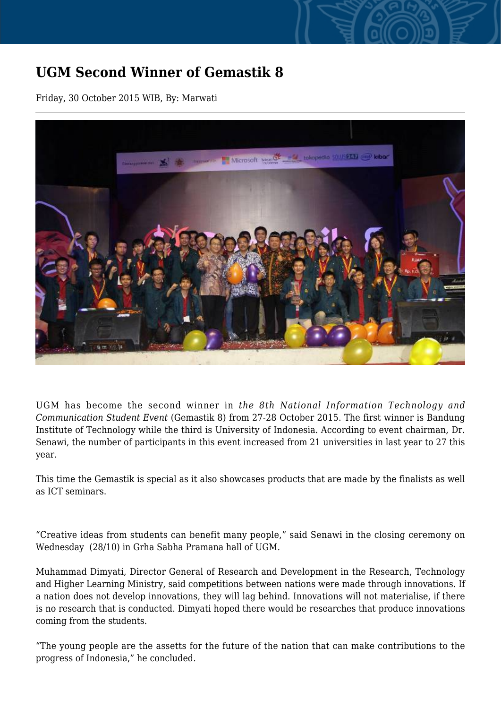## **UGM Second Winner of Gemastik 8**

Friday, 30 October 2015 WIB, By: Marwati



UGM has become the second winner in *the 8th National Information Technology and Communication Student Event* (Gemastik 8) from 27-28 October 2015. The first winner is Bandung Institute of Technology while the third is University of Indonesia. According to event chairman, Dr. Senawi, the number of participants in this event increased from 21 universities in last year to 27 this year.

This time the Gemastik is special as it also showcases products that are made by the finalists as well as ICT seminars.

"Creative ideas from students can benefit many people," said Senawi in the closing ceremony on Wednesday (28/10) in Grha Sabha Pramana hall of UGM.

Muhammad Dimyati, Director General of Research and Development in the Research, Technology and Higher Learning Ministry, said competitions between nations were made through innovations. If a nation does not develop innovations, they will lag behind. Innovations will not materialise, if there is no research that is conducted. Dimyati hoped there would be researches that produce innovations coming from the students.

"The young people are the assetts for the future of the nation that can make contributions to the progress of Indonesia," he concluded.